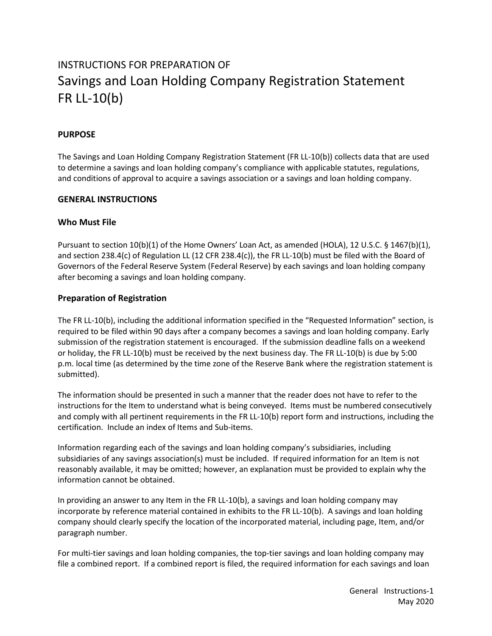# INSTRUCTIONS FOR PREPARATION OF Savings and Loan Holding Company Registration Statement FR LL-10(b)

# **PURPOSE**

The Savings and Loan Holding Company Registration Statement (FR LL-10(b)) collects data that are used to determine a savings and loan holding company's compliance with applicable statutes, regulations, and conditions of approval to acquire a savings association or a savings and loan holding company.

#### **GENERAL INSTRUCTIONS**

#### **Who Must File**

Pursuant to section 10(b)(1) of the Home Owners' Loan Act, as amended (HOLA), 12 U.S.C. § 1467(b)(1), and section 238.4(c) of Regulation LL (12 CFR 238.4(c)), the FR LL-10(b) must be filed with the Board of Governors of the Federal Reserve System (Federal Reserve) by each savings and loan holding company after becoming a savings and loan holding company.

# **Preparation of Registration**

The FR LL-10(b), including the additional information specified in the "Requested Information" section, is required to be filed within 90 days after a company becomes a savings and loan holding company. Early submission of the registration statement is encouraged. If the submission deadline falls on a weekend or holiday, the FR LL-10(b) must be received by the next business day. The FR LL-10(b) is due by 5:00 p.m. local time (as determined by the time zone of the Reserve Bank where the registration statement is submitted).

The information should be presented in such a manner that the reader does not have to refer to the instructions for the Item to understand what is being conveyed. Items must be numbered consecutively and comply with all pertinent requirements in the FR LL-10(b) report form and instructions, including the certification. Include an index of Items and Sub-items.

Information regarding each of the savings and loan holding company's subsidiaries, including subsidiaries of any savings association(s) must be included. If required information for an Item is not reasonably available, it may be omitted; however, an explanation must be provided to explain why the information cannot be obtained.

In providing an answer to any Item in the FR LL-10(b), a savings and loan holding company may incorporate by reference material contained in exhibits to the FR LL-10(b). A savings and loan holding company should clearly specify the location of the incorporated material, including page, Item, and/or paragraph number.

For multi-tier savings and loan holding companies, the top-tier savings and loan holding company may file a combined report. If a combined report is filed, the required information for each savings and loan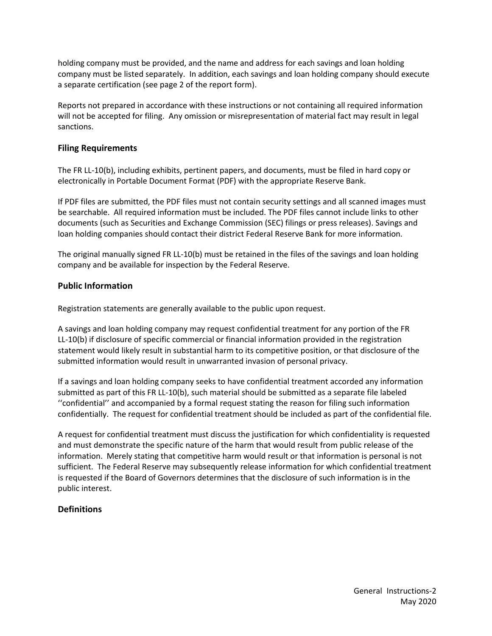holding company must be provided, and the name and address for each savings and loan holding company must be listed separately. In addition, each savings and loan holding company should execute a separate certification (see page 2 of the report form).

Reports not prepared in accordance with these instructions or not containing all required information will not be accepted for filing. Any omission or misrepresentation of material fact may result in legal sanctions.

# **Filing Requirements**

The FR LL-10(b), including exhibits, pertinent papers, and documents, must be filed in hard copy or electronically in Portable Document Format (PDF) with the appropriate Reserve Bank.

If PDF files are submitted, the PDF files must not contain security settings and all scanned images must be searchable. All required information must be included. The PDF files cannot include links to other documents (such as Securities and Exchange Commission (SEC) filings or press releases). Savings and loan holding companies should contact their district Federal Reserve Bank for more information.

The original manually signed FR LL-10(b) must be retained in the files of the savings and loan holding company and be available for inspection by the Federal Reserve.

#### **Public Information**

Registration statements are generally available to the public upon request.

A savings and loan holding company may request confidential treatment for any portion of the FR LL-10(b) if disclosure of specific commercial or financial information provided in the registration statement would likely result in substantial harm to its competitive position, or that disclosure of the submitted information would result in unwarranted invasion of personal privacy.

If a savings and loan holding company seeks to have confidential treatment accorded any information submitted as part of this FR LL-10(b), such material should be submitted as a separate file labeled ''confidential'' and accompanied by a formal request stating the reason for filing such information confidentially. The request for confidential treatment should be included as part of the confidential file.

A request for confidential treatment must discuss the justification for which confidentiality is requested and must demonstrate the specific nature of the harm that would result from public release of the information. Merely stating that competitive harm would result or that information is personal is not sufficient. The Federal Reserve may subsequently release information for which confidential treatment is requested if the Board of Governors determines that the disclosure of such information is in the public interest.

# **Definitions**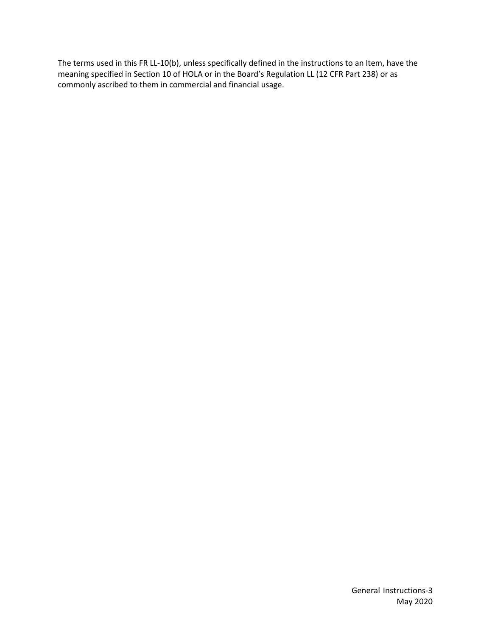The terms used in this FR LL-10(b), unless specifically defined in the instructions to an Item, have the meaning specified in Section 10 of HOLA or in the Board's Regulation LL (12 CFR Part 238) or as commonly ascribed to them in commercial and financial usage.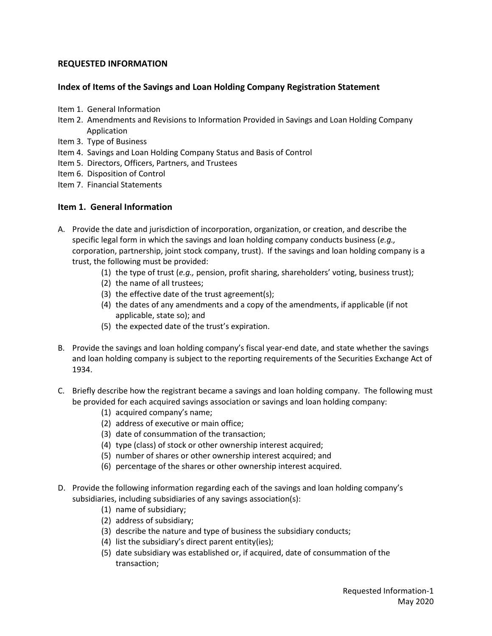# **REQUESTED INFORMATION**

# **Index of Items of the Savings and Loan Holding Company Registration Statement**

- Item 1. General Information
- Item 2. Amendments and Revisions to Information Provided in Savings and Loan Holding Company Application
- Item 3. Type of Business
- Item 4. Savings and Loan Holding Company Status and Basis of Control
- Item 5. Directors, Officers, Partners, and Trustees
- Item 6. Disposition of Control
- Item 7. Financial Statements

# **Item 1. General Information**

- A. Provide the date and jurisdiction of incorporation, organization, or creation, and describe the specific legal form in which the savings and loan holding company conducts business (*e.g.,* corporation, partnership, joint stock company, trust). If the savings and loan holding company is a trust, the following must be provided:
	- (1) the type of trust (*e.g.,* pension, profit sharing, shareholders' voting, business trust);
	- (2) the name of all trustees;
	- (3) the effective date of the trust agreement(s);
	- (4) the dates of any amendments and a copy of the amendments, if applicable (if not applicable, state so); and
	- (5) the expected date of the trust's expiration.
- B. Provide the savings and loan holding company's fiscal year-end date, and state whether the savings and loan holding company is subject to the reporting requirements of the Securities Exchange Act of 1934.
- C. Briefly describe how the registrant became a savings and loan holding company. The following must be provided for each acquired savings association or savings and loan holding company:
	- (1) acquired company's name;
	- (2) address of executive or main office;
	- (3) date of consummation of the transaction;
	- (4) type (class) of stock or other ownership interest acquired;
	- (5) number of shares or other ownership interest acquired; and
	- (6) percentage of the shares or other ownership interest acquired.
- D. Provide the following information regarding each of the savings and loan holding company's subsidiaries, including subsidiaries of any savings association(s):
	- (1) name of subsidiary;
	- (2) address of subsidiary;
	- (3) describe the nature and type of business the subsidiary conducts;
	- (4) list the subsidiary's direct parent entity(ies);
	- (5) date subsidiary was established or, if acquired, date of consummation of the transaction;